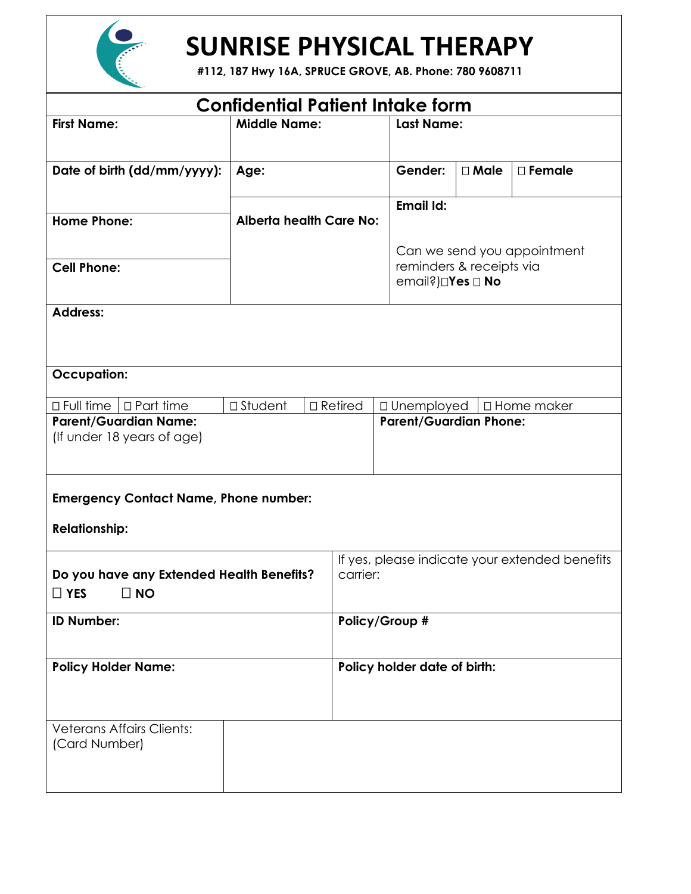

# **SUNRISE PHYSICAL THERAPY**

**#112, 187 Hwy 16A, SPRUCE GROVE, AB. Phone: 780 9608711**

| <b>Confidential Patient Intake form</b>                                                                                                                                                                      |                                |  |                                                            |                   |                             |  |  |
|--------------------------------------------------------------------------------------------------------------------------------------------------------------------------------------------------------------|--------------------------------|--|------------------------------------------------------------|-------------------|-----------------------------|--|--|
| <b>First Name:</b>                                                                                                                                                                                           | <b>Middle Name:</b>            |  |                                                            | <b>Last Name:</b> |                             |  |  |
| Date of birth (dd/mm/yyyy):                                                                                                                                                                                  | Age:                           |  | Gender:                                                    | $\square$ Male    | $\square$ Female            |  |  |
| <b>Home Phone:</b>                                                                                                                                                                                           | <b>Alberta health Care No:</b> |  | Email Id:                                                  |                   |                             |  |  |
| <b>Cell Phone:</b>                                                                                                                                                                                           |                                |  | reminders & receipts via<br>email?)□Yes □ No               |                   | Can we send you appointment |  |  |
| <b>Address:</b>                                                                                                                                                                                              |                                |  |                                                            |                   |                             |  |  |
| <b>Occupation:</b>                                                                                                                                                                                           |                                |  |                                                            |                   |                             |  |  |
| $\Box$ Full time $\Box$ Part time<br>$\square$ Student<br>$\Box$ Retired<br>□ Unemployed<br>$\Box$ Home maker<br><b>Parent/Guardian Name:</b><br><b>Parent/Guardian Phone:</b><br>(If under 18 years of age) |                                |  |                                                            |                   |                             |  |  |
| <b>Emergency Contact Name, Phone number:</b><br><b>Relationship:</b>                                                                                                                                         |                                |  |                                                            |                   |                             |  |  |
| Do you have any Extended Health Benefits?<br>$\Box$ YES<br>$\Box$ NO                                                                                                                                         |                                |  | If yes, please indicate your extended benefits<br>carrier: |                   |                             |  |  |
| <b>ID Number:</b>                                                                                                                                                                                            |                                |  | Policy/Group #                                             |                   |                             |  |  |
| <b>Policy Holder Name:</b>                                                                                                                                                                                   |                                |  | Policy holder date of birth:                               |                   |                             |  |  |
| <b>Veterans Affairs Clients:</b><br>(Card Number)                                                                                                                                                            |                                |  |                                                            |                   |                             |  |  |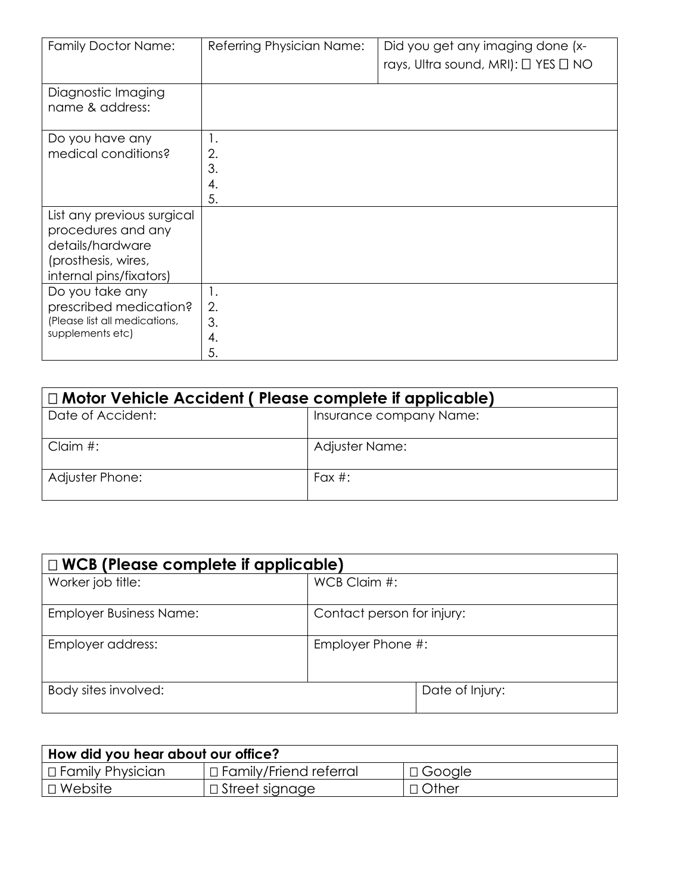| <b>Family Doctor Name:</b>                                                                                             | Referring Physician Name:  | Did you get any imaging done (x-<br>rays, Ultra sound, MRI): $\Box$ YES $\Box$ NO |
|------------------------------------------------------------------------------------------------------------------------|----------------------------|-----------------------------------------------------------------------------------|
| Diagnostic Imaging<br>name & address:                                                                                  |                            |                                                                                   |
| Do you have any<br>medical conditions?                                                                                 | 1.<br>2.<br>3.<br>4.<br>5. |                                                                                   |
| List any previous surgical<br>procedures and any<br>details/hardware<br>(prosthesis, wires,<br>internal pins/fixators) |                            |                                                                                   |
| Do you take any<br>prescribed medication?<br>(Please list all medications,<br>supplements etc)                         | 1.<br>2.<br>3.<br>4.<br>5. |                                                                                   |

| $\Box$ Motor Vehicle Accident ( Please complete if applicable) |                         |  |  |
|----------------------------------------------------------------|-------------------------|--|--|
| Date of Accident:                                              | Insurance company Name: |  |  |
| Claim $#$ :                                                    | Adjuster Name:          |  |  |
| Adjuster Phone:                                                | Fax $#$ :               |  |  |

| $\Box$ WCB (Please complete if applicable) |                            |  |  |  |
|--------------------------------------------|----------------------------|--|--|--|
| Worker job title:                          | WCB Claim #:               |  |  |  |
| <b>Employer Business Name:</b>             | Contact person for injury: |  |  |  |
| Employer address:                          | Employer Phone #:          |  |  |  |
| Body sites involved:                       | Date of Injury:            |  |  |  |

| How did you hear about our office? |                                        |               |  |  |  |
|------------------------------------|----------------------------------------|---------------|--|--|--|
| $\Box$ Family Physician            | $\mid$ $\sqcap$ Family/Friend referral | $\Box$ Google |  |  |  |
| $\Box$ Website                     | $\mid$ $\sqcup$ Street signage $\mid$  | $\Box$ Other  |  |  |  |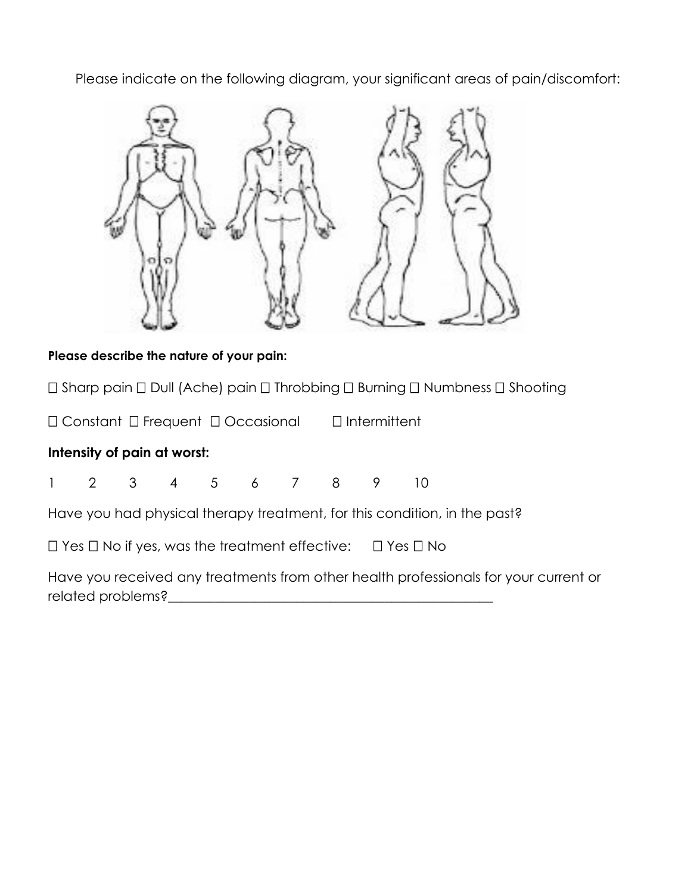Please indicate on the following diagram, your significant areas of pain/discomfort:



### **Please describe the nature of your pain:**

 $\Box$  Sharp pain  $\Box$  Dull (Ache) pain  $\Box$  Throbbing  $\Box$  Burning  $\Box$  Numbness  $\Box$  Shooting

 $\Box$  Constant  $\Box$  Frequent  $\Box$  Occasional  $\Box$  Intermittent

#### **Intensity of pain at worst:**

|  |  |  | $1 \t2 \t3 \t4 \t5 \t6 \t7 \t8 \t9 \t10$ |  |  |
|--|--|--|------------------------------------------|--|--|
|  |  |  |                                          |  |  |

Have you had physical therapy treatment, for this condition, in the past?

 $\Box$  Yes  $\Box$  No if yes, was the treatment effective:  $\Box$  Yes  $\Box$  No

Have you received any treatments from other health professionals for your current or related problems?\_\_\_\_\_\_\_\_\_\_\_\_\_\_\_\_\_\_\_\_\_\_\_\_\_\_\_\_\_\_\_\_\_\_\_\_\_\_\_\_\_\_\_\_\_\_\_\_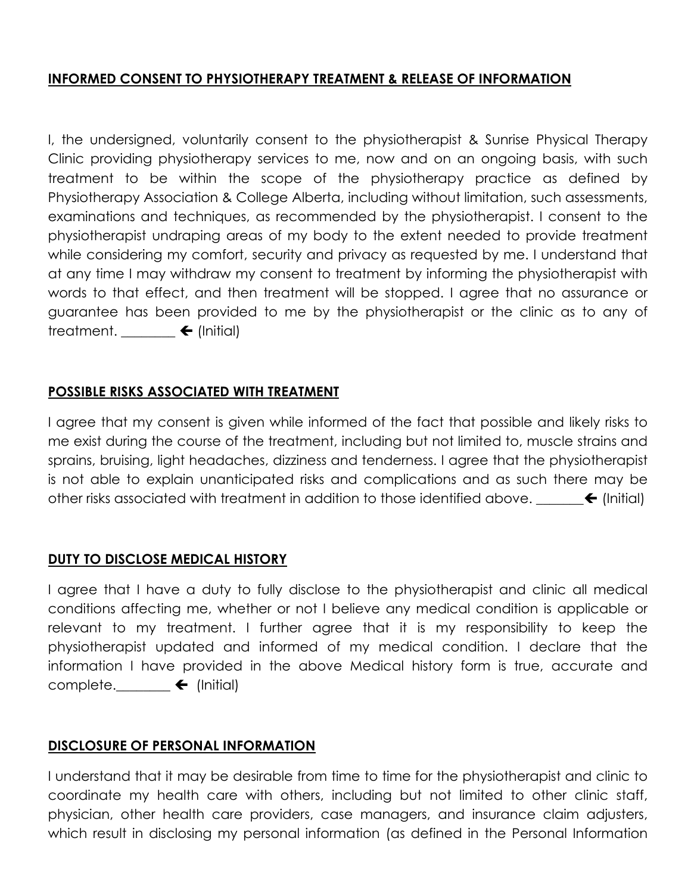## **INFORMED CONSENT TO PHYSIOTHERAPY TREATMENT & RELEASE OF INFORMATION**

I, the undersigned, voluntarily consent to the physiotherapist & Sunrise Physical Therapy Clinic providing physiotherapy services to me, now and on an ongoing basis, with such treatment to be within the scope of the physiotherapy practice as defined by Physiotherapy Association & College Alberta, including without limitation, such assessments, examinations and techniques, as recommended by the physiotherapist. I consent to the physiotherapist undraping areas of my body to the extent needed to provide treatment while considering my comfort, security and privacy as requested by me. I understand that at any time I may withdraw my consent to treatment by informing the physiotherapist with words to that effect, and then treatment will be stopped. I agree that no assurance or guarantee has been provided to me by the physiotherapist or the clinic as to any of treatment.  $\rule{1em}{0.15mm}$   $\blacktriangle$  (Initial)

#### **POSSIBLE RISKS ASSOCIATED WITH TREATMENT**

I agree that my consent is given while informed of the fact that possible and likely risks to me exist during the course of the treatment, including but not limited to, muscle strains and sprains, bruising, light headaches, dizziness and tenderness. I agree that the physiotherapist is not able to explain unanticipated risks and complications and as such there may be other risks associated with treatment in addition to those identified above.  $\leftarrow$  (Initial)

#### **DUTY TO DISCLOSE MEDICAL HISTORY**

I agree that I have a duty to fully disclose to the physiotherapist and clinic all medical conditions affecting me, whether or not I believe any medical condition is applicable or relevant to my treatment. I further agree that it is my responsibility to keep the physiotherapist updated and informed of my medical condition. I declare that the information I have provided in the above Medical history form is true, accurate and complete.  $\qquad \qquad \bullet$  (Initial)

#### **DISCLOSURE OF PERSONAL INFORMATION**

I understand that it may be desirable from time to time for the physiotherapist and clinic to coordinate my health care with others, including but not limited to other clinic staff, physician, other health care providers, case managers, and insurance claim adjusters, which result in disclosing my personal information (as defined in the Personal Information